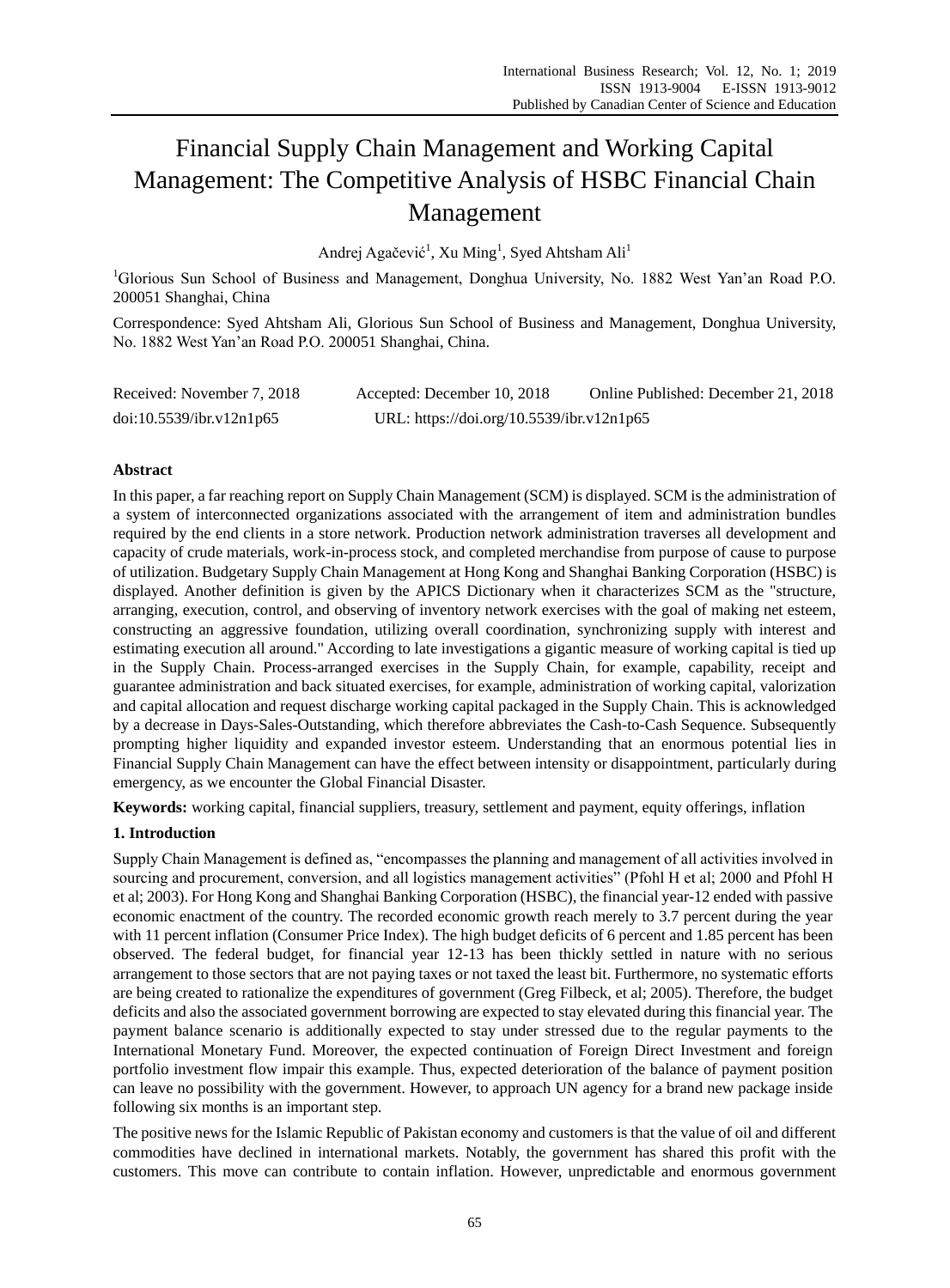# Financial Supply Chain Management and Working Capital Management: The Competitive Analysis of HSBC Financial Chain Management

Andrej Agačević<sup>1</sup>, Xu Ming<sup>1</sup>, Syed Ahtsham Ali<sup>1</sup>

<sup>1</sup>Glorious Sun School of Business and Management, Donghua University, No. 1882 West Yan'an Road P.O. 200051 Shanghai, China

Correspondence: Syed Ahtsham Ali, Glorious Sun School of Business and Management, Donghua University, No. 1882 West Yan'an Road P.O. 200051 Shanghai, China.

| Received: November 7, 2018 | Accepted: December 10, 2018               | Online Published: December 21, 2018 |
|----------------------------|-------------------------------------------|-------------------------------------|
| doi:10.5539/ibr.v12n1p65   | URL: https://doi.org/10.5539/ibr.v12n1p65 |                                     |

# **Abstract**

In this paper, a far reaching report on Supply Chain Management (SCM) is displayed. SCM is the administration of a system of interconnected organizations associated with the arrangement of item and administration bundles required by the end clients in a store network. Production network administration traverses all development and capacity of crude materials, work-in-process stock, and completed merchandise from purpose of cause to purpose of utilization. Budgetary Supply Chain Management at Hong Kong and Shanghai Banking Corporation (HSBC) is displayed. Another definition is given by the APICS Dictionary when it characterizes SCM as the "structure, arranging, execution, control, and observing of inventory network exercises with the goal of making net esteem, constructing an aggressive foundation, utilizing overall coordination, synchronizing supply with interest and estimating execution all around." According to late investigations a gigantic measure of working capital is tied up in the Supply Chain. Process-arranged exercises in the Supply Chain, for example, capability, receipt and guarantee administration and back situated exercises, for example, administration of working capital, valorization and capital allocation and request discharge working capital packaged in the Supply Chain. This is acknowledged by a decrease in Days-Sales-Outstanding, which therefore abbreviates the Cash-to-Cash Sequence. Subsequently prompting higher liquidity and expanded investor esteem. Understanding that an enormous potential lies in Financial Supply Chain Management can have the effect between intensity or disappointment, particularly during emergency, as we encounter the Global Financial Disaster.

**Keywords:** working capital, financial suppliers, treasury, settlement and payment, equity offerings, inflation

## **1. Introduction**

Supply Chain Management is defined as, "encompasses the planning and management of all activities involved in sourcing and procurement, conversion, and all logistics management activities" (Pfohl H et al; 2000 and Pfohl H et al; 2003). For Hong Kong and Shanghai Banking Corporation (HSBC), the financial year-12 ended with passive economic enactment of the country. The recorded economic growth reach merely to 3.7 percent during the year with 11 percent inflation (Consumer Price Index). The high budget deficits of 6 percent and 1.85 percent has been observed. The federal budget, for financial year 12-13 has been thickly settled in nature with no serious arrangement to those sectors that are not paying taxes or not taxed the least bit. Furthermore, no systematic efforts are being created to rationalize the expenditures of government (Greg Filbeck, et al; 2005). Therefore, the budget deficits and also the associated government borrowing are expected to stay elevated during this financial year. The payment balance scenario is additionally expected to stay under stressed due to the regular payments to the International Monetary Fund. Moreover, the expected continuation of Foreign Direct Investment and foreign portfolio investment flow impair this example. Thus, expected deterioration of the balance of payment position can leave no possibility with the government. However, to approach UN agency for a brand new package inside following six months is an important step.

The positive news for the Islamic Republic of Pakistan economy and customers is that the value of oil and different commodities have declined in international markets. Notably, the government has shared this profit with the customers. This move can contribute to contain inflation. However, unpredictable and enormous government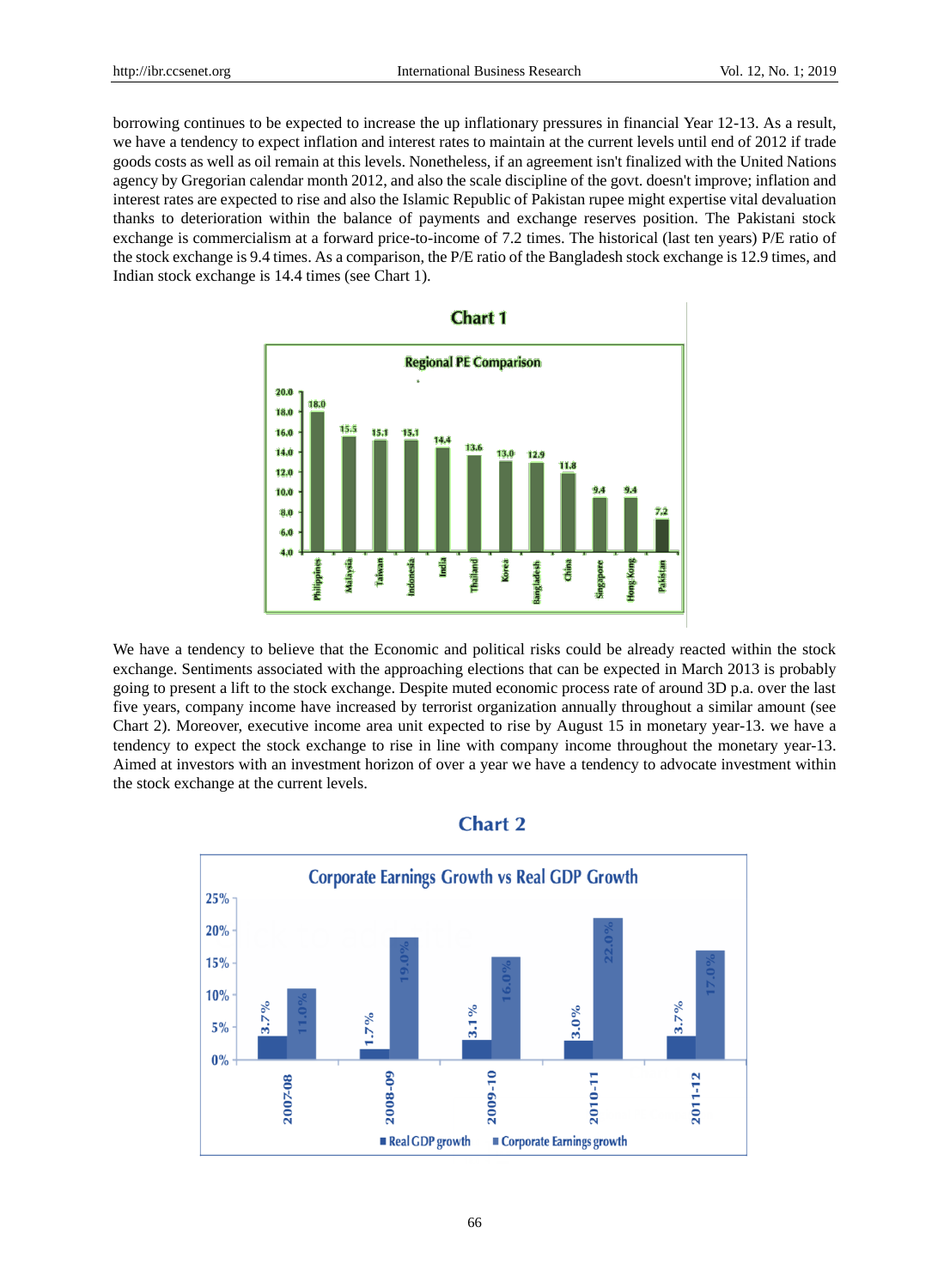borrowing continues to be expected to increase the up inflationary pressures in financial Year 12-13. As a result, we have a tendency to expect inflation and interest rates to maintain at the current levels until end of 2012 if trade goods costs as well as oil remain at this levels. Nonetheless, if an agreement isn't finalized with the United Nations agency by Gregorian calendar month 2012, and also the scale discipline of the govt. doesn't improve; inflation and interest rates are expected to rise and also the Islamic Republic of Pakistan rupee might expertise vital devaluation thanks to deterioration within the balance of payments and exchange reserves position. The Pakistani stock exchange is commercialism at a forward price-to-income of 7.2 times. The historical (last ten years) P/E ratio of the stock exchange is 9.4 times. As a comparison, the P/E ratio of the Bangladesh stock exchange is 12.9 times, and Indian stock exchange is 14.4 times (see Chart 1).



We have a tendency to believe that the Economic and political risks could be already reacted within the stock exchange. Sentiments associated with the approaching elections that can be expected in March 2013 is probably going to present a lift to the stock exchange. Despite muted economic process rate of around 3D p.a. over the last five years, company income have increased by terrorist organization annually throughout a similar amount (see Chart 2). Moreover, executive income area unit expected to rise by August 15 in monetary year-13. we have a tendency to expect the stock exchange to rise in line with company income throughout the monetary year-13. Aimed at investors with an investment horizon of over a year we have a tendency to advocate investment within the stock exchange at the current levels.



# **Chart 2**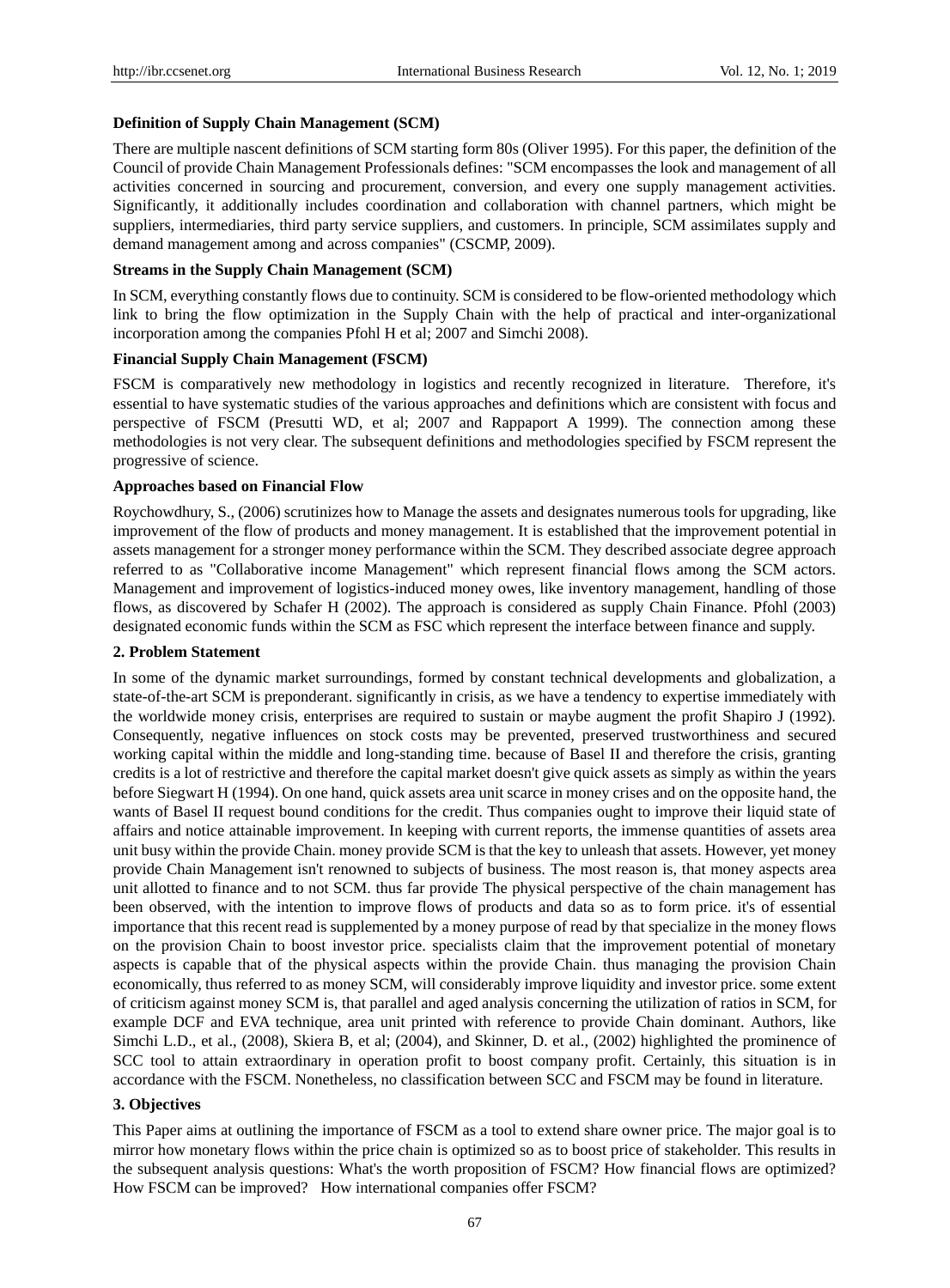#### **Definition of Supply Chain Management (SCM)**

There are multiple nascent definitions of SCM starting form 80s (Oliver 1995). For this paper, the definition of the Council of provide Chain Management Professionals defines: "SCM encompasses the look and management of all activities concerned in sourcing and procurement, conversion, and every one supply management activities. Significantly, it additionally includes coordination and collaboration with channel partners, which might be suppliers, intermediaries, third party service suppliers, and customers. In principle, SCM assimilates supply and demand management among and across companies" (CSCMP, 2009).

#### **Streams in the Supply Chain Management (SCM)**

In SCM, everything constantly flows due to continuity. SCM is considered to be flow-oriented methodology which link to bring the flow optimization in the Supply Chain with the help of practical and inter-organizational incorporation among the companies Pfohl H et al; 2007 and Simchi 2008).

#### **Financial Supply Chain Management (FSCM)**

FSCM is comparatively new methodology in logistics and recently recognized in literature. Therefore, it's essential to have systematic studies of the various approaches and definitions which are consistent with focus and perspective of FSCM (Presutti WD, et al; 2007 and Rappaport A 1999). The connection among these methodologies is not very clear. The subsequent definitions and methodologies specified by FSCM represent the progressive of science.

#### **Approaches based on Financial Flow**

Roychowdhury, S., (2006) scrutinizes how to Manage the assets and designates numerous tools for upgrading, like improvement of the flow of products and money management. It is established that the improvement potential in assets management for a stronger money performance within the SCM. They described associate degree approach referred to as "Collaborative income Management" which represent financial flows among the SCM actors. Management and improvement of logistics-induced money owes, like inventory management, handling of those flows, as discovered by Schafer H (2002). The approach is considered as supply Chain Finance. Pfohl (2003) designated economic funds within the SCM as FSC which represent the interface between finance and supply.

## **2. Problem Statement**

In some of the dynamic market surroundings, formed by constant technical developments and globalization, a state-of-the-art SCM is preponderant. significantly in crisis, as we have a tendency to expertise immediately with the worldwide money crisis, enterprises are required to sustain or maybe augment the profit Shapiro J (1992). Consequently, negative influences on stock costs may be prevented, preserved trustworthiness and secured working capital within the middle and long-standing time. because of Basel II and therefore the crisis, granting credits is a lot of restrictive and therefore the capital market doesn't give quick assets as simply as within the years before Siegwart H (1994). On one hand, quick assets area unit scarce in money crises and on the opposite hand, the wants of Basel II request bound conditions for the credit. Thus companies ought to improve their liquid state of affairs and notice attainable improvement. In keeping with current reports, the immense quantities of assets area unit busy within the provide Chain. money provide SCM is that the key to unleash that assets. However, yet money provide Chain Management isn't renowned to subjects of business. The most reason is, that money aspects area unit allotted to finance and to not SCM. thus far provide The physical perspective of the chain management has been observed, with the intention to improve flows of products and data so as to form price. it's of essential importance that this recent read is supplemented by a money purpose of read by that specialize in the money flows on the provision Chain to boost investor price. specialists claim that the improvement potential of monetary aspects is capable that of the physical aspects within the provide Chain. thus managing the provision Chain economically, thus referred to as money SCM, will considerably improve liquidity and investor price. some extent of criticism against money SCM is, that parallel and aged analysis concerning the utilization of ratios in SCM, for example DCF and EVA technique, area unit printed with reference to provide Chain dominant. Authors, like Simchi L.D., et al., (2008), Skiera B, et al; (2004), and Skinner, D. et al., (2002) highlighted the prominence of SCC tool to attain extraordinary in operation profit to boost company profit. Certainly, this situation is in accordance with the FSCM. Nonetheless, no classification between SCC and FSCM may be found in literature.

# **3. Objectives**

This Paper aims at outlining the importance of FSCM as a tool to extend share owner price. The major goal is to mirror how monetary flows within the price chain is optimized so as to boost price of stakeholder. This results in the subsequent analysis questions: What's the worth proposition of FSCM? How financial flows are optimized? How FSCM can be improved? How international companies offer FSCM?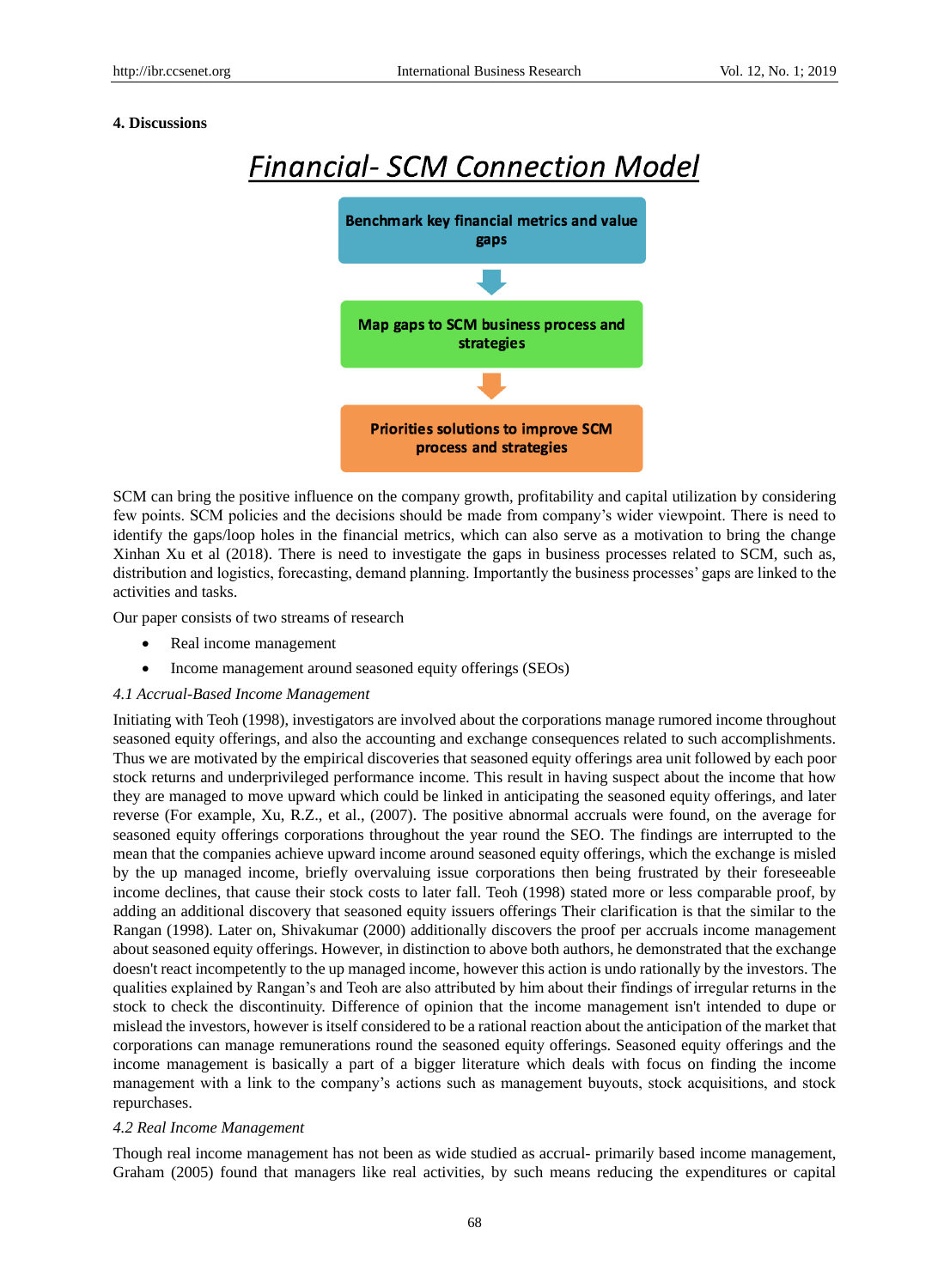#### **4. Discussions**



SCM can bring the positive influence on the company growth, profitability and capital utilization by considering few points. SCM policies and the decisions should be made from company's wider viewpoint. There is need to identify the gaps/loop holes in the financial metrics, which can also serve as a motivation to bring the change Xinhan Xu et al (2018). There is need to investigate the gaps in business processes related to SCM, such as, distribution and logistics, forecasting, demand planning. Importantly the business processes' gaps are linked to the activities and tasks.

Our paper consists of two streams of research

- Real income management
- Income management around seasoned equity offerings (SEOs)

#### *4.1 Accrual-Based Income Management*

Initiating with Teoh (1998), investigators are involved about the corporations manage rumored income throughout seasoned equity offerings, and also the accounting and exchange consequences related to such accomplishments. Thus we are motivated by the empirical discoveries that seasoned equity offerings area unit followed by each poor stock returns and underprivileged performance income. This result in having suspect about the income that how they are managed to move upward which could be linked in anticipating the seasoned equity offerings, and later reverse (For example, Xu, R.Z., et al., (2007). The positive abnormal accruals were found, on the average for seasoned equity offerings corporations throughout the year round the SEO. The findings are interrupted to the mean that the companies achieve upward income around seasoned equity offerings, which the exchange is misled by the up managed income, briefly overvaluing issue corporations then being frustrated by their foreseeable income declines, that cause their stock costs to later fall. Teoh (1998) stated more or less comparable proof, by adding an additional discovery that seasoned equity issuers offerings Their clarification is that the similar to the Rangan (1998). Later on, Shivakumar (2000) additionally discovers the proof per accruals income management about seasoned equity offerings. However, in distinction to above both authors, he demonstrated that the exchange doesn't react incompetently to the up managed income, however this action is undo rationally by the investors. The qualities explained by Rangan's and Teoh are also attributed by him about their findings of irregular returns in the stock to check the discontinuity. Difference of opinion that the income management isn't intended to dupe or mislead the investors, however is itself considered to be a rational reaction about the anticipation of the market that corporations can manage remunerations round the seasoned equity offerings. Seasoned equity offerings and the income management is basically a part of a bigger literature which deals with focus on finding the income management with a link to the company's actions such as management buyouts, stock acquisitions, and stock repurchases.

#### *4.2 Real Income Management*

Though real income management has not been as wide studied as accrual- primarily based income management, Graham (2005) found that managers like real activities, by such means reducing the expenditures or capital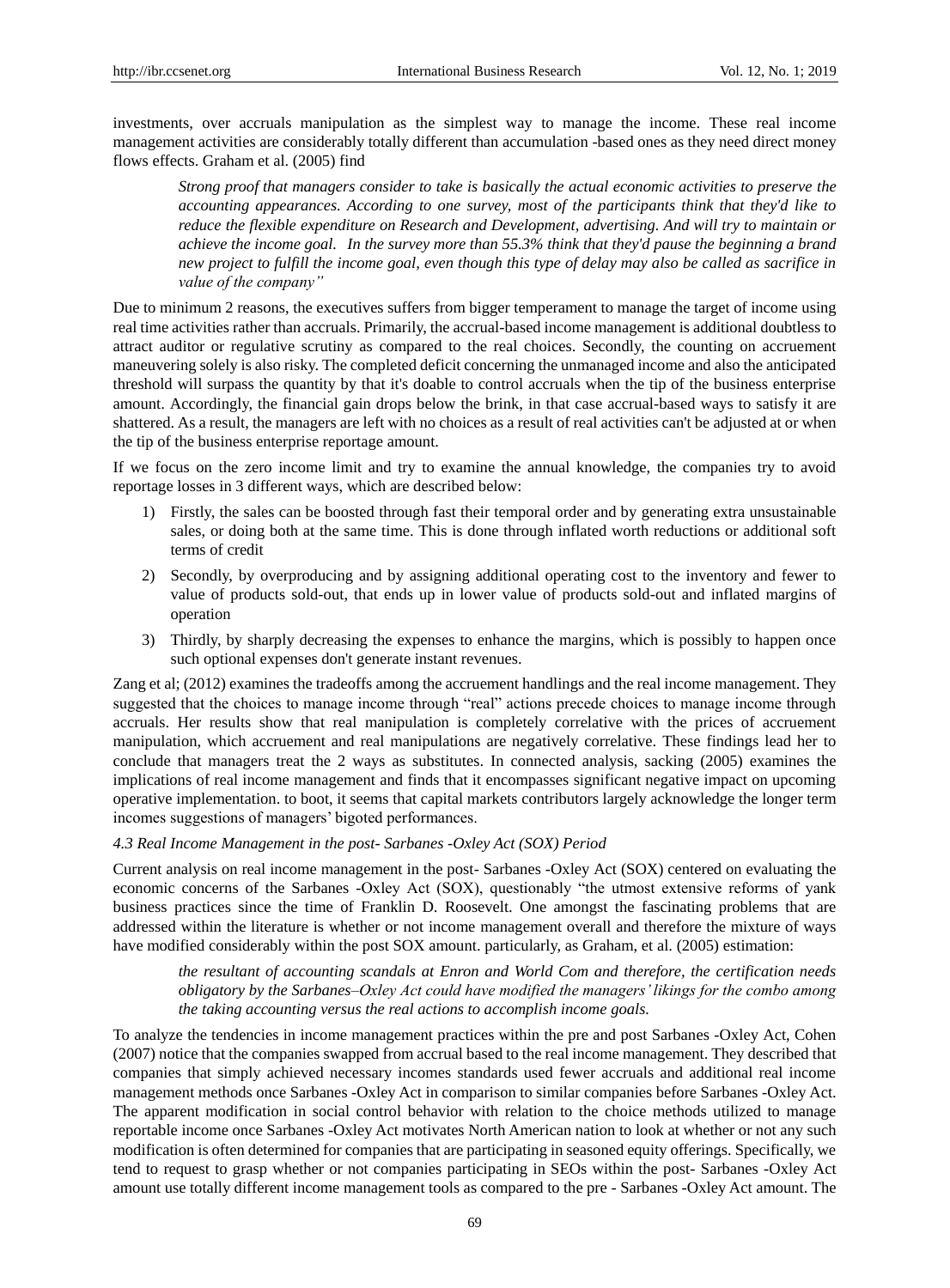investments, over accruals manipulation as the simplest way to manage the income. These real income management activities are considerably totally different than accumulation -based ones as they need direct money flows effects. Graham et al. (2005) find

*Strong proof that managers consider to take is basically the actual economic activities to preserve the accounting appearances. According to one survey, most of the participants think that they'd like to reduce the flexible expenditure on Research and Development, advertising. And will try to maintain or achieve the income goal. In the survey more than 55.3% think that they'd pause the beginning a brand new project to fulfill the income goal, even though this type of delay may also be called as sacrifice in value of the company"* 

Due to minimum 2 reasons, the executives suffers from bigger temperament to manage the target of income using real time activities rather than accruals. Primarily, the accrual-based income management is additional doubtless to attract auditor or regulative scrutiny as compared to the real choices. Secondly, the counting on accruement maneuvering solely is also risky. The completed deficit concerning the unmanaged income and also the anticipated threshold will surpass the quantity by that it's doable to control accruals when the tip of the business enterprise amount. Accordingly, the financial gain drops below the brink, in that case accrual-based ways to satisfy it are shattered. As a result, the managers are left with no choices as a result of real activities can't be adjusted at or when the tip of the business enterprise reportage amount.

If we focus on the zero income limit and try to examine the annual knowledge, the companies try to avoid reportage losses in 3 different ways, which are described below:

- 1) Firstly, the sales can be boosted through fast their temporal order and by generating extra unsustainable sales, or doing both at the same time. This is done through inflated worth reductions or additional soft terms of credit
- 2) Secondly, by overproducing and by assigning additional operating cost to the inventory and fewer to value of products sold-out, that ends up in lower value of products sold-out and inflated margins of operation
- 3) Thirdly, by sharply decreasing the expenses to enhance the margins, which is possibly to happen once such optional expenses don't generate instant revenues.

Zang et al; (2012) examines the tradeoffs among the accruement handlings and the real income management. They suggested that the choices to manage income through "real" actions precede choices to manage income through accruals. Her results show that real manipulation is completely correlative with the prices of accruement manipulation, which accruement and real manipulations are negatively correlative. These findings lead her to conclude that managers treat the 2 ways as substitutes. In connected analysis, sacking (2005) examines the implications of real income management and finds that it encompasses significant negative impact on upcoming operative implementation. to boot, it seems that capital markets contributors largely acknowledge the longer term incomes suggestions of managers' bigoted performances.

#### *4.3 Real Income Management in the post- Sarbanes -Oxley Act (SOX) Period*

Current analysis on real income management in the post- Sarbanes -Oxley Act (SOX) centered on evaluating the economic concerns of the Sarbanes -Oxley Act (SOX), questionably "the utmost extensive reforms of yank business practices since the time of Franklin D. Roosevelt. One amongst the fascinating problems that are addressed within the literature is whether or not income management overall and therefore the mixture of ways have modified considerably within the post SOX amount. particularly, as Graham, et al. (2005) estimation:

*the resultant of accounting scandals at Enron and World Com and therefore, the certification needs obligatory by the Sarbanes–Oxley Act could have modified the managers' likings for the combo among the taking accounting versus the real actions to accomplish income goals.*

To analyze the tendencies in income management practices within the pre and post Sarbanes -Oxley Act, Cohen (2007) notice that the companies swapped from accrual based to the real income management. They described that companies that simply achieved necessary incomes standards used fewer accruals and additional real income management methods once Sarbanes -Oxley Act in comparison to similar companies before Sarbanes -Oxley Act. The apparent modification in social control behavior with relation to the choice methods utilized to manage reportable income once Sarbanes -Oxley Act motivates North American nation to look at whether or not any such modification is often determined for companies that are participating in seasoned equity offerings. Specifically, we tend to request to grasp whether or not companies participating in SEOs within the post- Sarbanes -Oxley Act amount use totally different income management tools as compared to the pre - Sarbanes -Oxley Act amount. The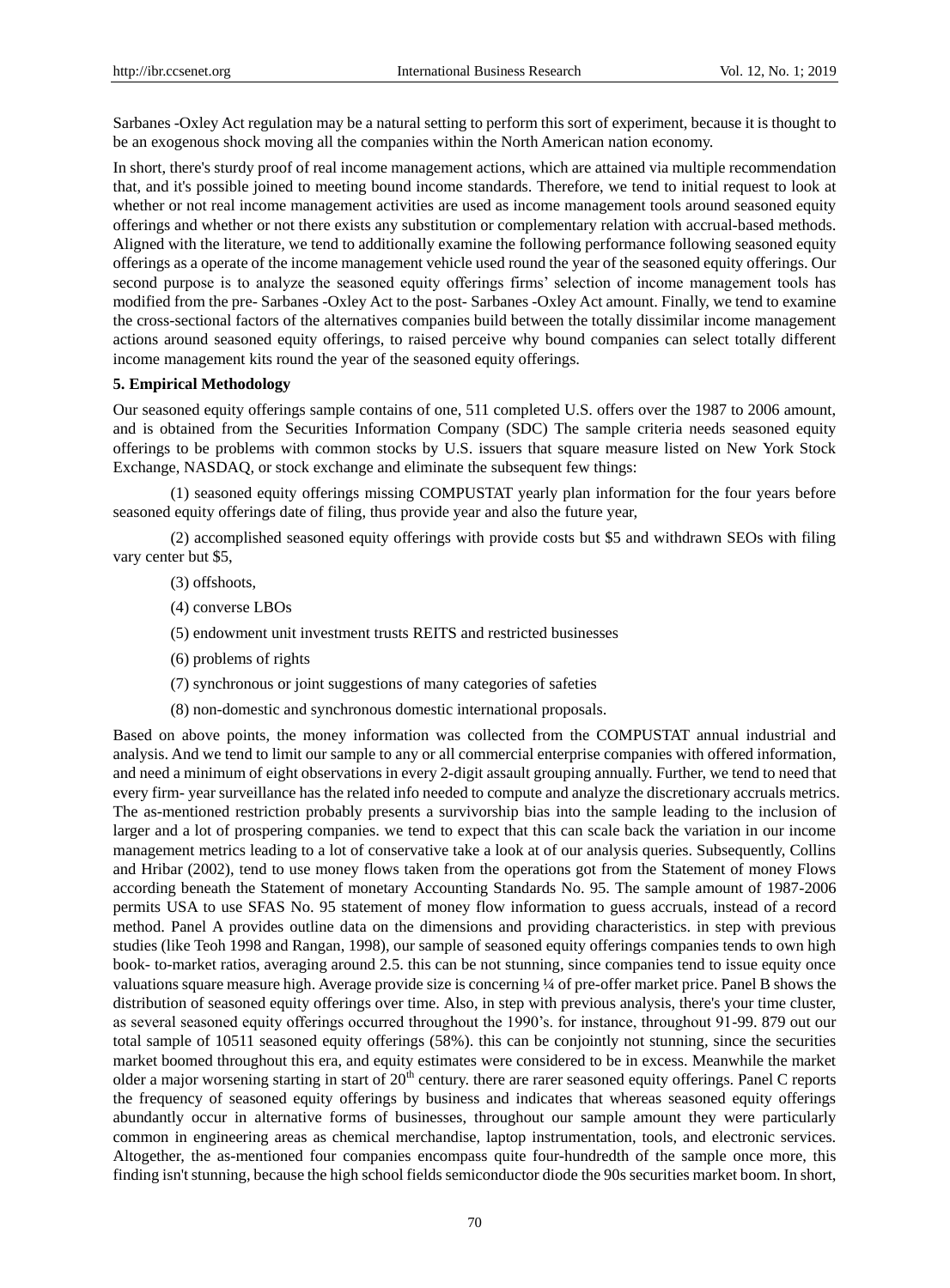Sarbanes -Oxley Act regulation may be a natural setting to perform this sort of experiment, because it is thought to be an exogenous shock moving all the companies within the North American nation economy.

In short, there's sturdy proof of real income management actions, which are attained via multiple recommendation that, and it's possible joined to meeting bound income standards. Therefore, we tend to initial request to look at whether or not real income management activities are used as income management tools around seasoned equity offerings and whether or not there exists any substitution or complementary relation with accrual-based methods. Aligned with the literature, we tend to additionally examine the following performance following seasoned equity offerings as a operate of the income management vehicle used round the year of the seasoned equity offerings. Our second purpose is to analyze the seasoned equity offerings firms' selection of income management tools has modified from the pre- Sarbanes -Oxley Act to the post- Sarbanes -Oxley Act amount. Finally, we tend to examine the cross-sectional factors of the alternatives companies build between the totally dissimilar income management actions around seasoned equity offerings, to raised perceive why bound companies can select totally different income management kits round the year of the seasoned equity offerings.

#### **5. Empirical Methodology**

Our seasoned equity offerings sample contains of one, 511 completed U.S. offers over the 1987 to 2006 amount, and is obtained from the Securities Information Company (SDC) The sample criteria needs seasoned equity offerings to be problems with common stocks by U.S. issuers that square measure listed on New York Stock Exchange, NASDAQ, or stock exchange and eliminate the subsequent few things:

(1) seasoned equity offerings missing COMPUSTAT yearly plan information for the four years before seasoned equity offerings date of filing, thus provide year and also the future year,

(2) accomplished seasoned equity offerings with provide costs but \$5 and withdrawn SEOs with filing vary center but \$5,

- (3) offshoots,
- (4) converse LBOs
- (5) endowment unit investment trusts REITS and restricted businesses
- (6) problems of rights
- (7) synchronous or joint suggestions of many categories of safeties
- (8) non-domestic and synchronous domestic international proposals.

Based on above points, the money information was collected from the COMPUSTAT annual industrial and analysis. And we tend to limit our sample to any or all commercial enterprise companies with offered information, and need a minimum of eight observations in every 2-digit assault grouping annually. Further, we tend to need that every firm- year surveillance has the related info needed to compute and analyze the discretionary accruals metrics. The as-mentioned restriction probably presents a survivorship bias into the sample leading to the inclusion of larger and a lot of prospering companies. we tend to expect that this can scale back the variation in our income management metrics leading to a lot of conservative take a look at of our analysis queries. Subsequently, Collins and Hribar (2002), tend to use money flows taken from the operations got from the Statement of money Flows according beneath the Statement of monetary Accounting Standards No. 95. The sample amount of 1987-2006 permits USA to use SFAS No. 95 statement of money flow information to guess accruals, instead of a record method. Panel A provides outline data on the dimensions and providing characteristics. in step with previous studies (like Teoh 1998 and Rangan, 1998), our sample of seasoned equity offerings companies tends to own high book- to-market ratios, averaging around 2.5. this can be not stunning, since companies tend to issue equity once valuations square measure high. Average provide size is concerning ¼ of pre-offer market price. Panel B shows the distribution of seasoned equity offerings over time. Also, in step with previous analysis, there's your time cluster, as several seasoned equity offerings occurred throughout the 1990's. for instance, throughout 91-99. 879 out our total sample of 10511 seasoned equity offerings (58%). this can be conjointly not stunning, since the securities market boomed throughout this era, and equity estimates were considered to be in excess. Meanwhile the market older a major worsening starting in start of  $20<sup>th</sup>$  century. there are rarer seasoned equity offerings. Panel C reports the frequency of seasoned equity offerings by business and indicates that whereas seasoned equity offerings abundantly occur in alternative forms of businesses, throughout our sample amount they were particularly common in engineering areas as chemical merchandise, laptop instrumentation, tools, and electronic services. Altogether, the as-mentioned four companies encompass quite four-hundredth of the sample once more, this finding isn't stunning, because the high school fields semiconductor diode the 90s securities market boom. In short,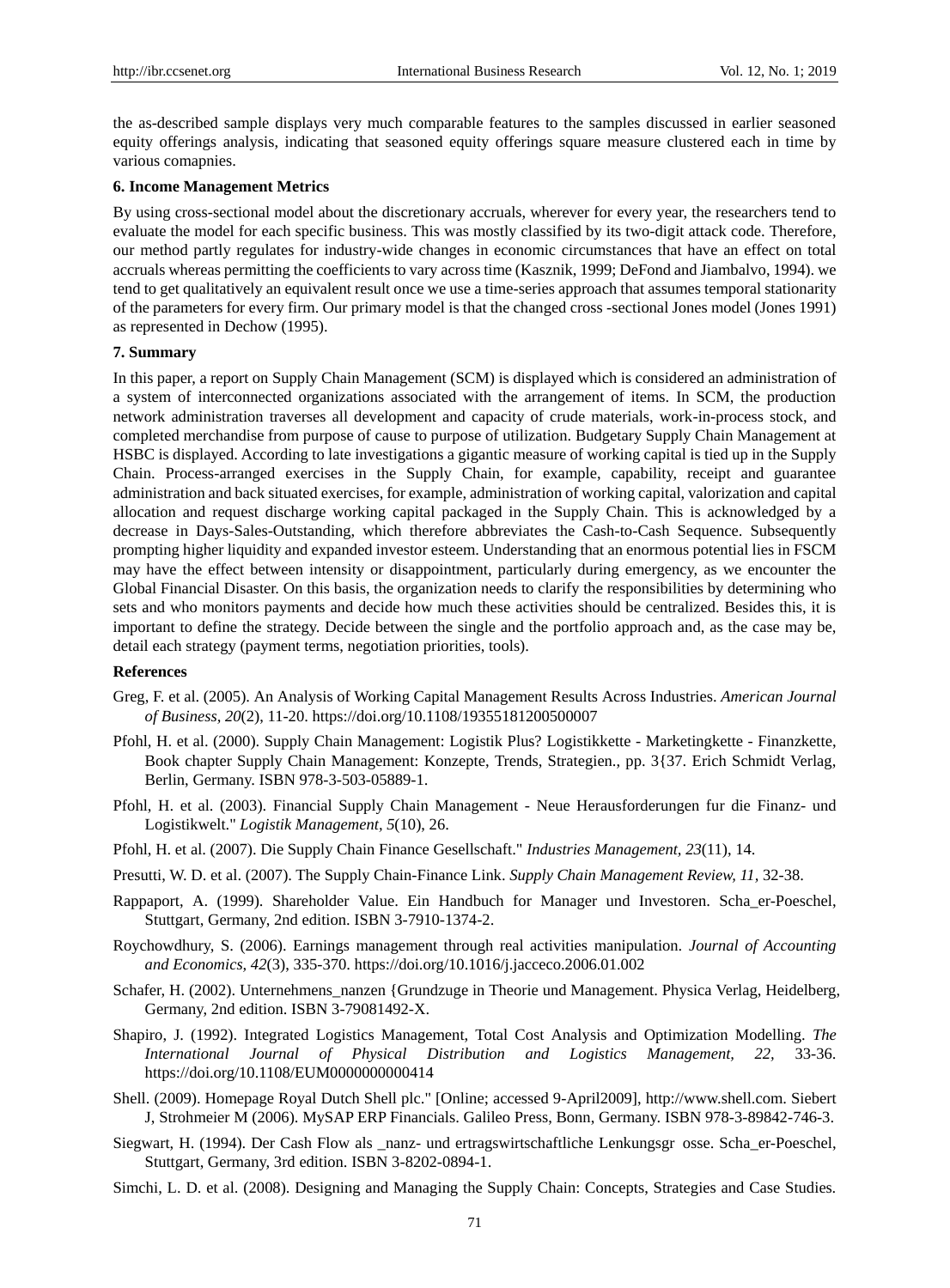the as-described sample displays very much comparable features to the samples discussed in earlier seasoned equity offerings analysis, indicating that seasoned equity offerings square measure clustered each in time by various comapnies.

#### **6. Income Management Metrics**

By using cross-sectional model about the discretionary accruals, wherever for every year, the researchers tend to evaluate the model for each specific business. This was mostly classified by its two-digit attack code. Therefore, our method partly regulates for industry-wide changes in economic circumstances that have an effect on total accruals whereas permitting the coefficients to vary across time (Kasznik, 1999; DeFond and Jiambalvo, 1994). we tend to get qualitatively an equivalent result once we use a time-series approach that assumes temporal stationarity of the parameters for every firm. Our primary model is that the changed cross -sectional Jones model (Jones 1991) as represented in Dechow (1995).

#### **7. Summary**

In this paper, a report on Supply Chain Management (SCM) is displayed which is considered an administration of a system of interconnected organizations associated with the arrangement of items. In SCM, the production network administration traverses all development and capacity of crude materials, work-in-process stock, and completed merchandise from purpose of cause to purpose of utilization. Budgetary Supply Chain Management at HSBC is displayed. According to late investigations a gigantic measure of working capital is tied up in the Supply Chain. Process-arranged exercises in the Supply Chain, for example, capability, receipt and guarantee administration and back situated exercises, for example, administration of working capital, valorization and capital allocation and request discharge working capital packaged in the Supply Chain. This is acknowledged by a decrease in Days-Sales-Outstanding, which therefore abbreviates the Cash-to-Cash Sequence. Subsequently prompting higher liquidity and expanded investor esteem. Understanding that an enormous potential lies in FSCM may have the effect between intensity or disappointment, particularly during emergency, as we encounter the Global Financial Disaster. On this basis, the organization needs to clarify the responsibilities by determining who sets and who monitors payments and decide how much these activities should be centralized. Besides this, it is important to define the strategy. Decide between the single and the portfolio approach and, as the case may be, detail each strategy (payment terms, negotiation priorities, tools).

### **References**

- Greg, F. et al. (2005). An Analysis of Working Capital Management Results Across Industries. *American Journal of Business, 20*(2), 11-20. https://doi.org/10.1108/19355181200500007
- Pfohl, H. et al. (2000). Supply Chain Management: Logistik Plus? Logistikkette Marketingkette Finanzkette, Book chapter Supply Chain Management: Konzepte, Trends, Strategien., pp. 3{37. Erich Schmidt Verlag, Berlin, Germany. ISBN 978-3-503-05889-1.
- Pfohl, H. et al. (2003). Financial Supply Chain Management Neue Herausforderungen fur die Finanz- und Logistikwelt." *Logistik Management, 5*(10), 26.
- Pfohl, H. et al. (2007). Die Supply Chain Finance Gesellschaft." *Industries Management, 23*(11), 14.
- Presutti, W. D. et al. (2007). The Supply Chain-Finance Link. *Supply Chain Management Review, 11,* 32-38.
- Rappaport, A. (1999). Shareholder Value. Ein Handbuch for Manager und Investoren. Scha\_er-Poeschel, Stuttgart, Germany, 2nd edition. ISBN 3-7910-1374-2.
- Roychowdhury, S. (2006). Earnings management through real activities manipulation. *Journal of Accounting and Economics, 42*(3), 335-370. https://doi.org/10.1016/j.jacceco.2006.01.002
- Schafer, H. (2002). Unternehmens\_nanzen {Grundzuge in Theorie und Management. Physica Verlag, Heidelberg, Germany, 2nd edition. ISBN 3-79081492-X.
- Shapiro, J. (1992). Integrated Logistics Management, Total Cost Analysis and Optimization Modelling. *The International Journal of Physical Distribution and Logistics Management, 22,* 33-36. https://doi.org/10.1108/EUM0000000000414
- Shell. (2009). Homepage Royal Dutch Shell plc." [Online; accessed 9-April2009], http://www.shell.com. Siebert J, Strohmeier M (2006). MySAP ERP Financials. Galileo Press, Bonn, Germany. ISBN 978-3-89842-746-3.
- Siegwart, H. (1994). Der Cash Flow als \_nanz- und ertragswirtschaftliche Lenkungsgr• osse. Scha\_er-Poeschel, Stuttgart, Germany, 3rd edition. ISBN 3-8202-0894-1.
- Simchi, L. D. et al. (2008). Designing and Managing the Supply Chain: Concepts, Strategies and Case Studies.